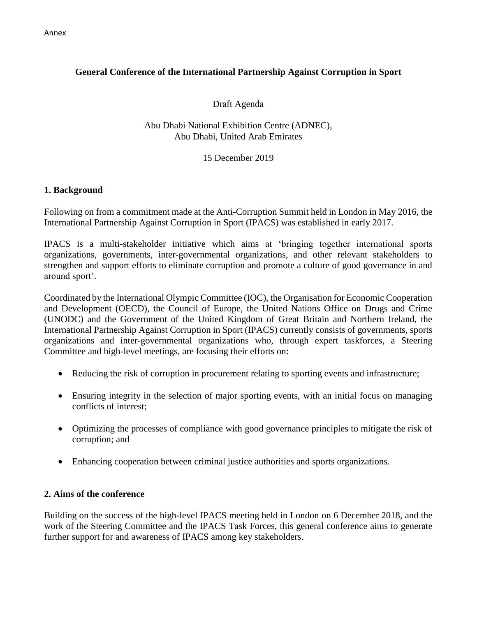# **General Conference of the International Partnership Against Corruption in Sport**

## Draft Agenda

Abu Dhabi National Exhibition Centre (ADNEC), Abu Dhabi, United Arab Emirates

### 15 December 2019

### **1. Background**

Following on from a commitment made at the Anti-Corruption Summit held in London in May 2016, the International Partnership Against Corruption in Sport (IPACS) was established in early 2017.

IPACS is a multi-stakeholder initiative which aims at 'bringing together international sports organizations, governments, inter-governmental organizations, and other relevant stakeholders to strengthen and support efforts to eliminate corruption and promote a culture of good governance in and around sport'.

Coordinated by the International Olympic Committee (IOC), the Organisation for Economic Cooperation and Development (OECD), the Council of Europe, the United Nations Office on Drugs and Crime (UNODC) and the Government of the United Kingdom of Great Britain and Northern Ireland, the International Partnership Against Corruption in Sport (IPACS) currently consists of governments, sports organizations and inter-governmental organizations who, through expert taskforces, a Steering Committee and high-level meetings, are focusing their efforts on:

- Reducing the risk of corruption in procurement relating to sporting events and infrastructure;
- Ensuring integrity in the selection of major sporting events, with an initial focus on managing conflicts of interest;
- Optimizing the processes of compliance with good governance principles to mitigate the risk of corruption; and
- Enhancing cooperation between criminal justice authorities and sports organizations.

### **2. Aims of the conference**

Building on the success of the high-level IPACS meeting held in London on 6 December 2018, and the work of the Steering Committee and the IPACS Task Forces, this general conference aims to generate further support for and awareness of IPACS among key stakeholders.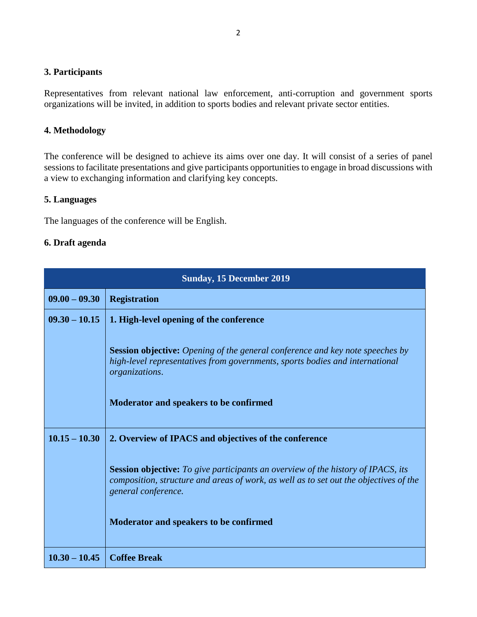### **3. Participants**

Representatives from relevant national law enforcement, anti-corruption and government sports organizations will be invited, in addition to sports bodies and relevant private sector entities.

# **4. Methodology**

The conference will be designed to achieve its aims over one day. It will consist of a series of panel sessions to facilitate presentations and give participants opportunities to engage in broad discussions with a view to exchanging information and clarifying key concepts.

#### **5. Languages**

The languages of the conference will be English.

### **6. Draft agenda**

| <b>Sunday, 15 December 2019</b> |                                                                                                                                                                                                         |
|---------------------------------|---------------------------------------------------------------------------------------------------------------------------------------------------------------------------------------------------------|
| $09.00 - 09.30$                 | <b>Registration</b>                                                                                                                                                                                     |
| $09.30 - 10.15$                 | 1. High-level opening of the conference                                                                                                                                                                 |
|                                 | <b>Session objective:</b> Opening of the general conference and key note speeches by<br>high-level representatives from governments, sports bodies and international<br>organizations.                  |
|                                 | Moderator and speakers to be confirmed                                                                                                                                                                  |
| $10.15 - 10.30$                 | 2. Overview of IPACS and objectives of the conference                                                                                                                                                   |
|                                 | <b>Session objective:</b> To give participants an overview of the history of IPACS, its<br>composition, structure and areas of work, as well as to set out the objectives of the<br>general conference. |
|                                 | <b>Moderator and speakers to be confirmed</b>                                                                                                                                                           |
| $10.30 - 10.45$                 | <b>Coffee Break</b>                                                                                                                                                                                     |